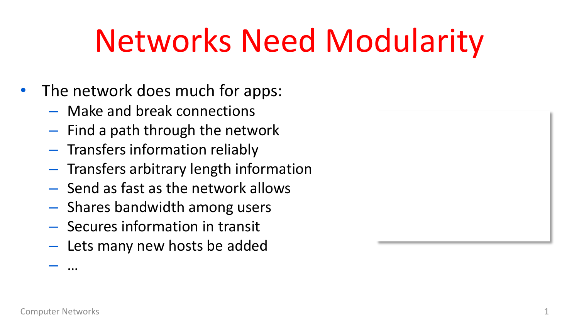## Networks Need Modularity

- The network does much for apps:
	- Make and break connections
	- Find a path through the network
	- Transfers information reliably
	- Transfers arbitrary length information
	- Send as fast as the network allows
	- Shares bandwidth among users
	- Secures information in transit
	- Lets many new hosts be added



– …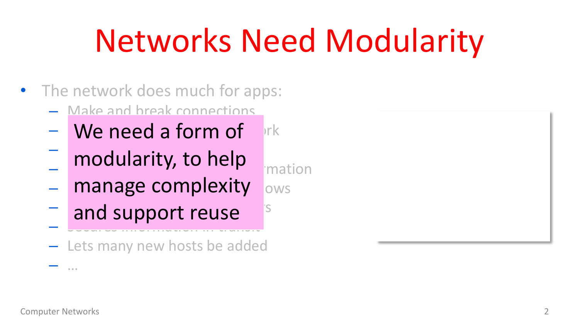## Networks Need Modularity

- The network does much for apps:
	- Make and break connections
	- $-$  We need a form of  $\frac{1}{2}$ rk
	- $-$  modularity to hole  $-$  Troudiarity, to field  $\overline{\phantom{a}}$  mation modularity, to help
	- manage complexity ows
	- $-$  and support reuse  $s^s$  $-$  Secures information in transit and support reuse
	- Lets many new hosts be added



– …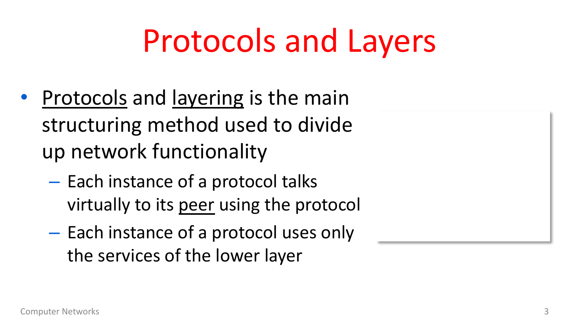## Protocols and Layers

- Protocols and layering is the main structuring method used to divide up network functionality
	- Each instance of a protocol talks virtually to its peer using the protocol
	- Each instance of a protocol uses only the services of the lower layer

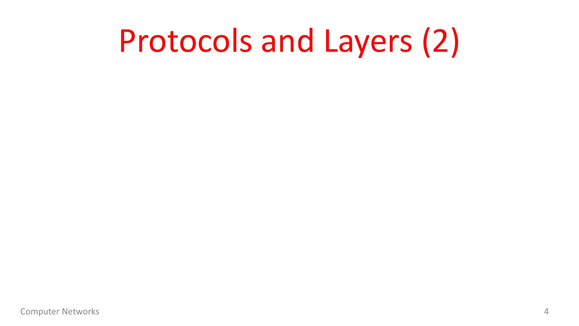### Protocols and Layers (2)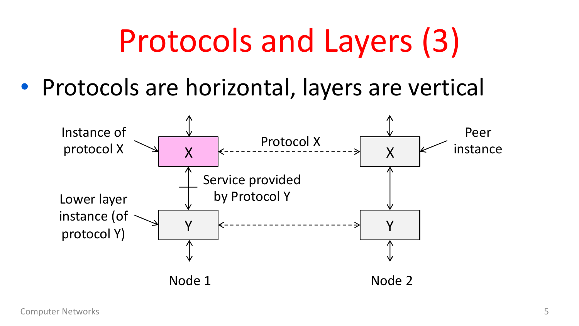## Protocols and Layers (3)

• Protocols are horizontal, layers are vertical

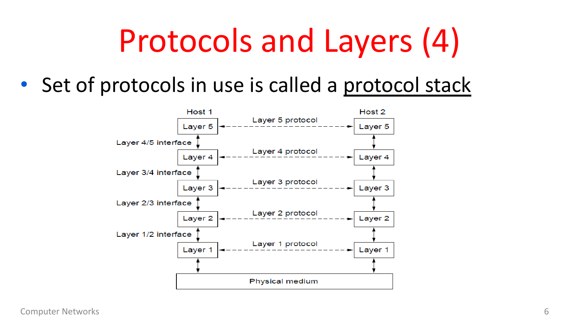## Protocols and Layers (4)

• Set of protocols in use is called a protocol stack

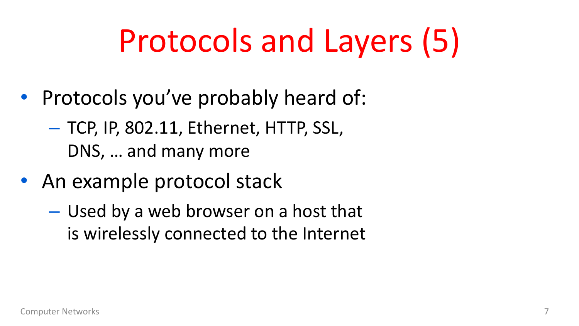## Protocols and Layers (5)

- Protocols you've probably heard of:
	- TCP, IP, 802.11, Ethernet, HTTP, SSL, DNS, … and many more
- An example protocol stack
	- Used by a web browser on a host that is wirelessly connected to the Internet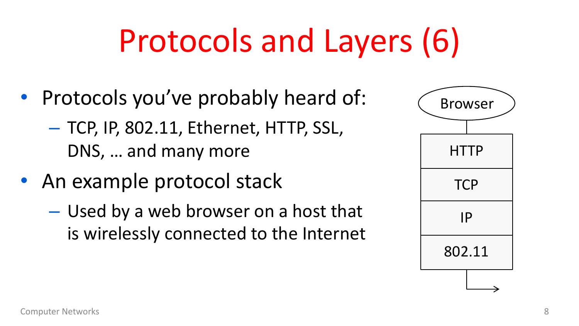## Protocols and Layers (6)

- Protocols you've probably heard of:
	- TCP, IP, 802.11, Ethernet, HTTP, SSL, DNS, … and many more
- An example protocol stack
	- Used by a web browser on a host that is wirelessly connected to the Internet

| <b>Browser</b> |
|----------------|
| <b>HTTP</b>    |
| <b>TCP</b>     |
| IP             |
| 802.11         |
|                |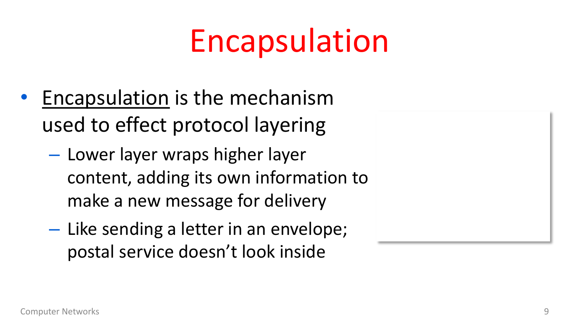### Encapsulation

- Encapsulation is the mechanism used to effect protocol layering
	- Lower layer wraps higher layer content, adding its own information to make a new message for delivery
	- Like sending a letter in an envelope; postal service doesn't look inside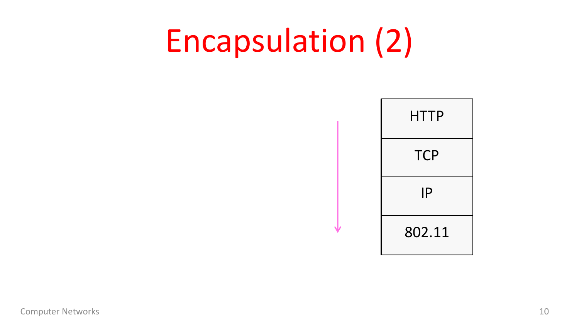### Encapsulation (2)

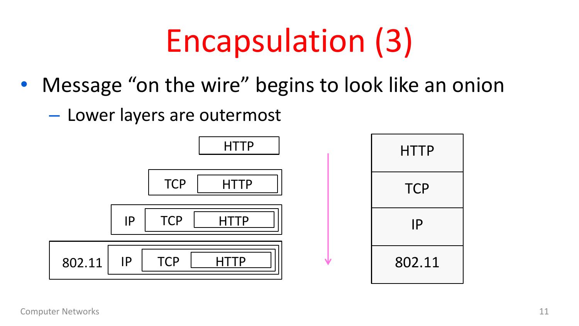## Encapsulation (3)

- Message "on the wire" begins to look like an onion
	- Lower layers are outermost

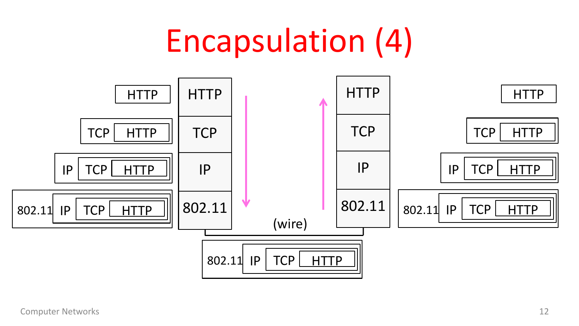#### Encapsulation (4)

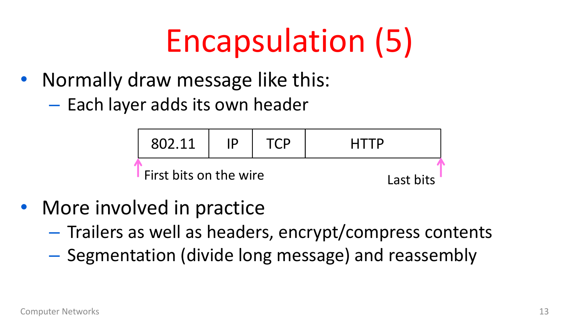## Encapsulation (5)

- Normally draw message like this:
	- Each layer adds its own header



- More involved in practice
	- Trailers as well as headers, encrypt/compress contents
	- Segmentation (divide long message) and reassembly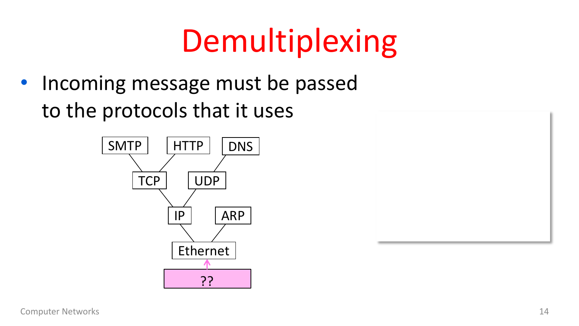## Demultiplexing

• Incoming message must be passed to the protocols that it uses



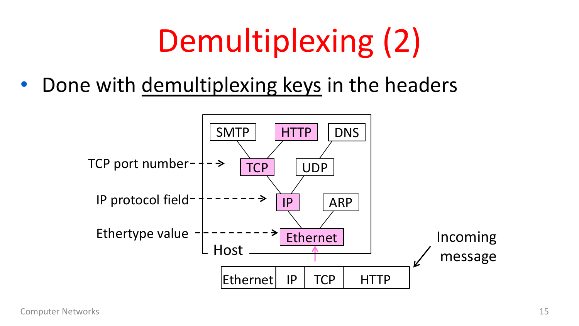## Demultiplexing (2)

• Done with demultiplexing keys in the headers

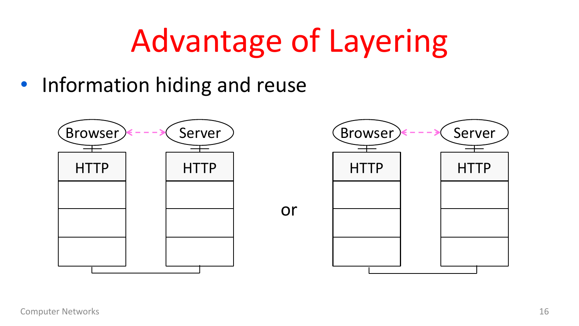## Advantage of Layering

• Information hiding and reuse

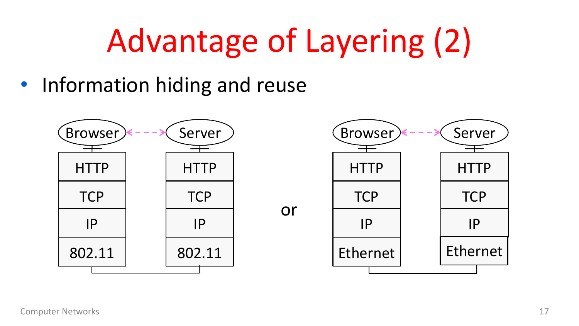## Advantage of Layering (2)

• Information hiding and reuse

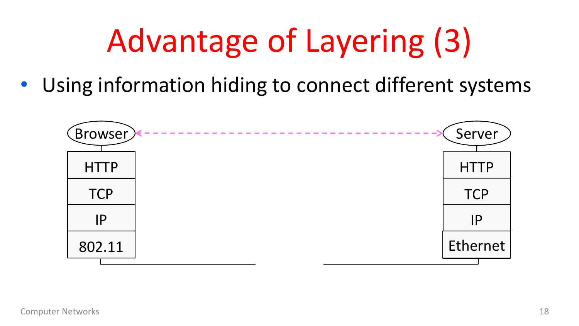# Advantage of Layering (3)

• Using information hiding to connect different systems

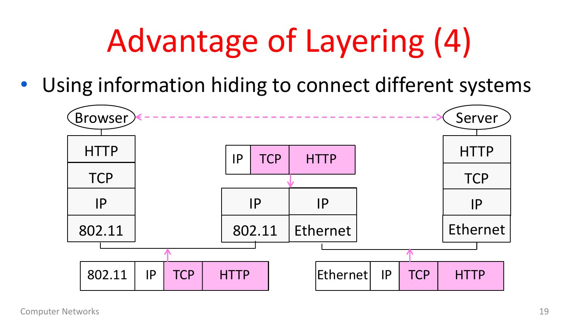# Advantage of Layering (4)

• Using information hiding to connect different systems

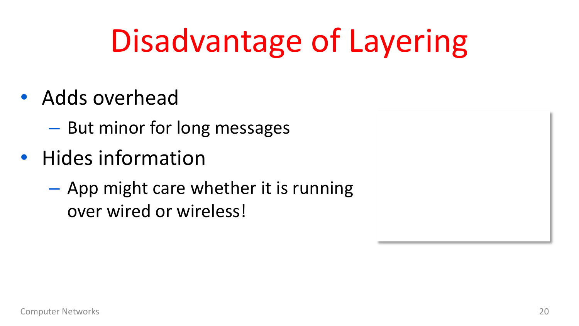## Disadvantage of Layering

- Adds overhead
	- But minor for long messages
- Hides information
	- App might care whether it is running over wired or wireless!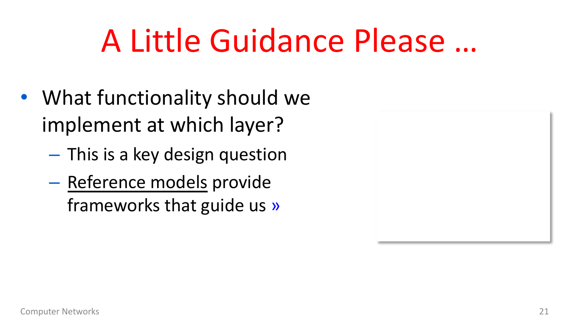## A Little Guidance Please …

- What functionality should we implement at which layer?
	- This is a key design question
	- Reference models provide frameworks that guide us »

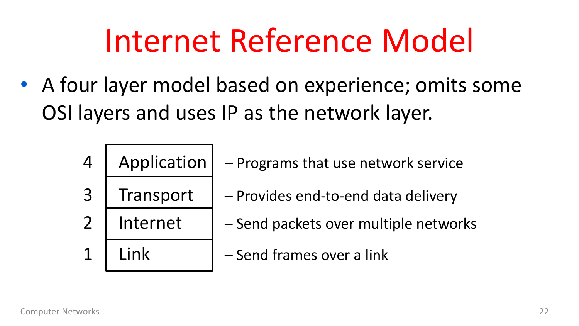### Internet Reference Model

- A four layer model based on experience; omits some OSI layers and uses IP as the network layer.
	-
	-
	-
- 4 | Application  $|$  Programs that use network service
- 3 Transport | Provides end-to-end data delivery
- 2 | Internet  $\vert -$  Send packets over multiple networks
- 1 Link l Send frames over a link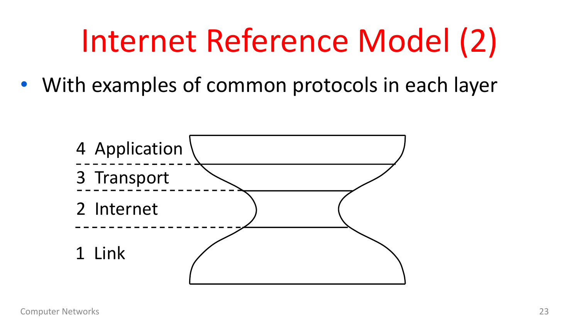## Internet Reference Model (2)

• With examples of common protocols in each layer

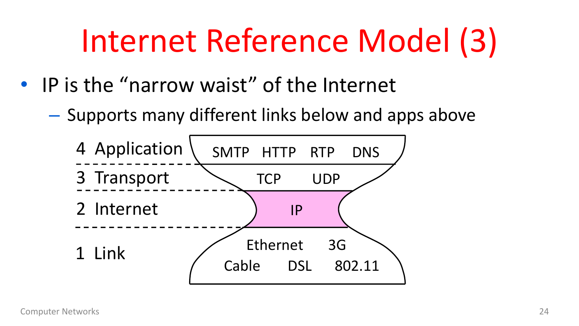## Internet Reference Model (3)

- IP is the "narrow waist" of the Internet
	- Supports many different links below and apps above

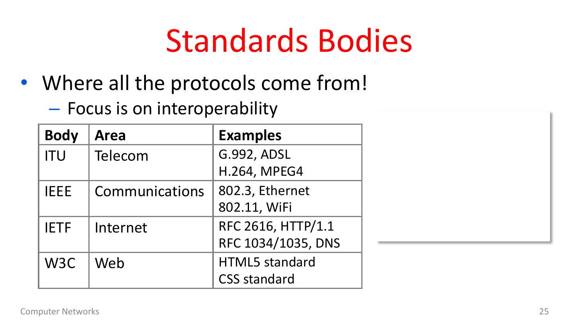### Standards Bodies

- Where all the protocols come from!
	- Focus is on interoperability

| <b>Body</b>      | Area           | <b>Examples</b>     |
|------------------|----------------|---------------------|
| <b>ITU</b>       | Telecom        | G.992, ADSL         |
|                  |                | <b>H.264, MPEG4</b> |
| <b>IEEE</b>      | Communications | 802.3, Ethernet     |
|                  |                | 802.11, WiFi        |
| <b>IETF</b>      | Internet       | RFC 2616, HTTP/1.1  |
|                  |                | RFC 1034/1035, DNS  |
| W <sub>3</sub> C | Web            | HTML5 standard      |
|                  |                | <b>CSS standard</b> |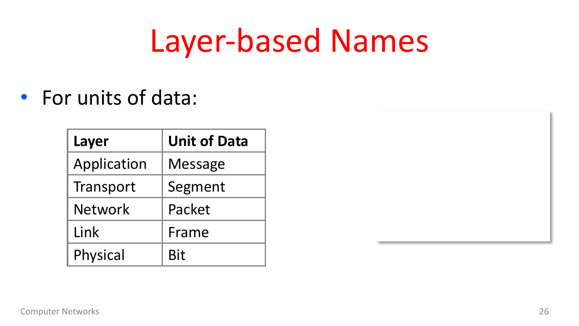#### Layer-based Names

#### • For units of data:

| Layer          | <b>Unit of Data</b> |
|----------------|---------------------|
| Application    | <b>Message</b>      |
| Transport      | Segment             |
| <b>Network</b> | Packet              |
| Link           | Frame               |
| Physical       | <b>Bit</b>          |

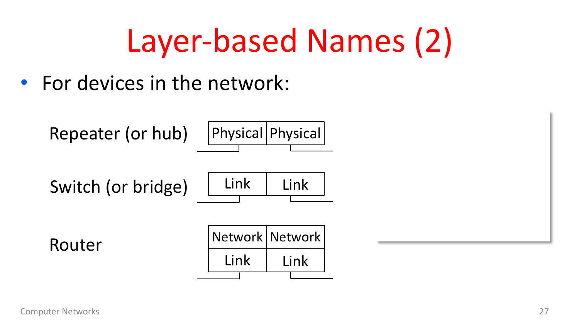## Layer-based Names (2)

• For devices in the network:

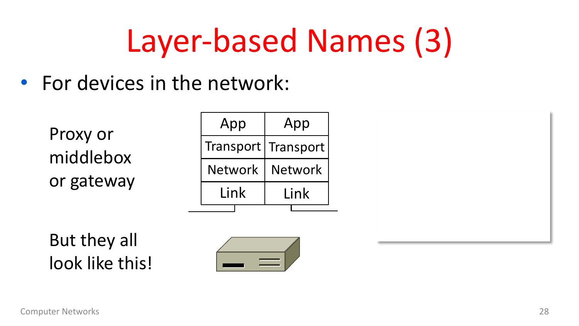## Layer-based Names (3)

• For devices in the network:



look like this!

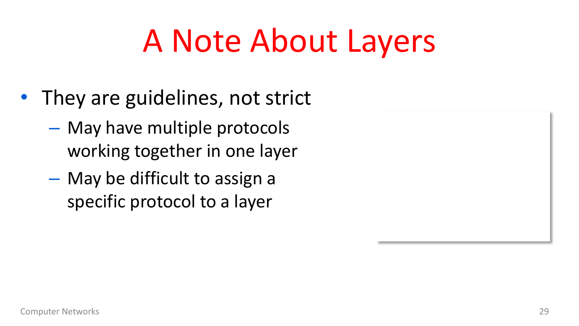## A Note About Layers

- They are guidelines, not strict
	- May have multiple protocols working together in one layer
	- May be difficult to assign a specific protocol to a layer

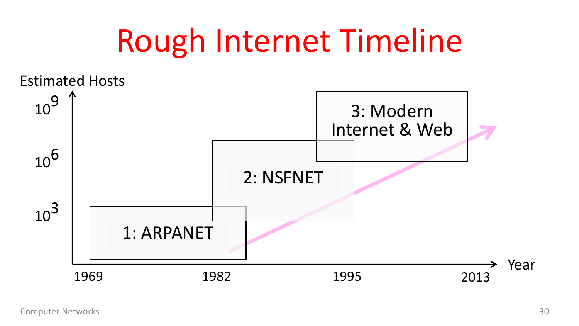#### Rough Internet Timeline

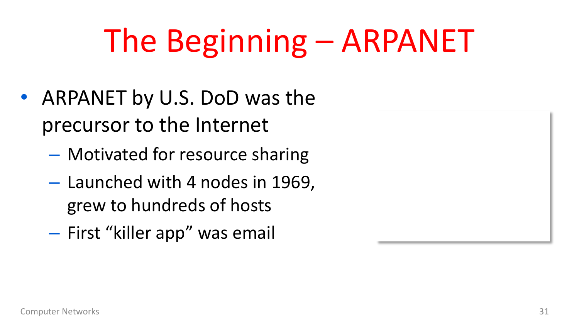## The Beginning – ARPANET

- ARPANET by U.S. DoD was the precursor to the Internet
	- Motivated for resource sharing
	- Launched with 4 nodes in 1969, grew to hundreds of hosts
	- First "killer app" was email

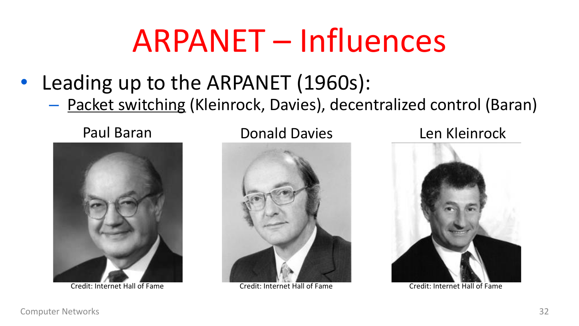#### ARPANET – Influences

- Leading up to the ARPANET (1960s):
	- Packet switching (Kleinrock, Davies), decentralized control (Baran)



Credit: Internet Hall of Fame Credit: Internet Hall of Fame Credit: Internet Hall of Fame

Paul Baran Donald Davies Len Kleinrock



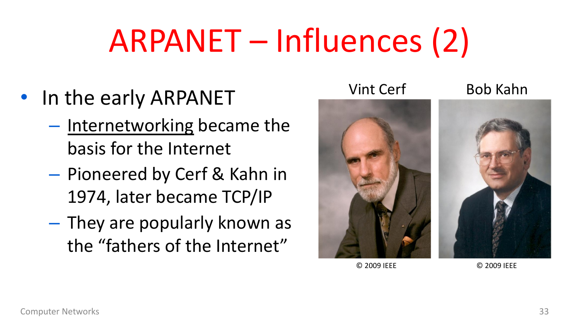## ARPANET – Influences (2)

- In the early ARPANET
	- Internetworking became the basis for the Internet
	- Pioneered by Cerf & Kahn in 1974, later became TCP/IP
	- They are popularly known as the "fathers of the Internet"



© 2009 IEEE © 2009 IEEE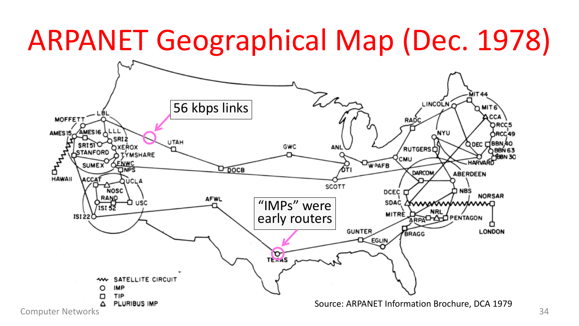#### ARPANET Geographical Map (Dec. 1978)

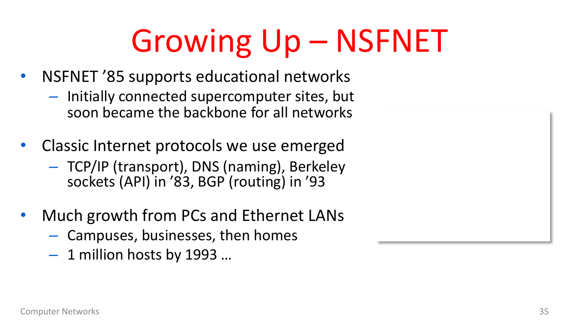## Growing Up – NSFNET

- NSFNET '85 supports educational networks
	- Initially connected supercomputer sites, but soon became the backbone for all networks
- Classic Internet protocols we use emerged
	- TCP/IP (transport), DNS (naming), Berkeley sockets (API) in '83, BGP (routing) in '93
- Much growth from PCs and Ethernet LANs
	- Campuses, businesses, then homes
	- $-1$  million hosts by 1993 ...

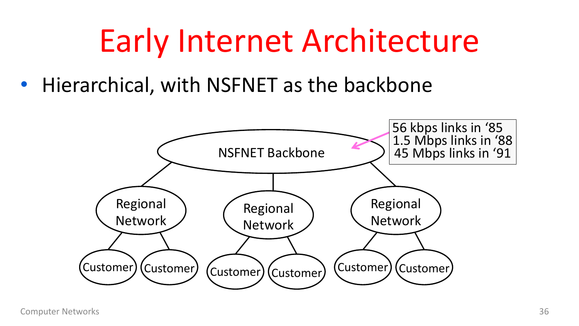## Early Internet Architecture

• Hierarchical, with NSFNET as the backbone

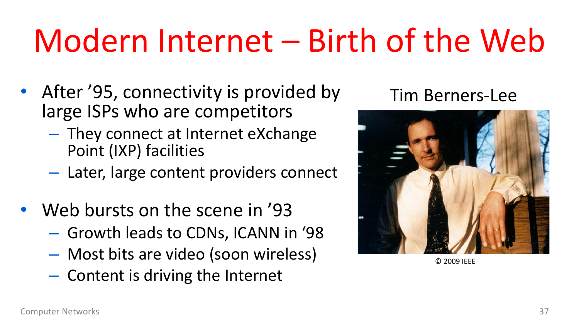## Modern Internet – Birth of the Web

- After '95, connectivity is provided by large ISPs who are competitors
	- They connect at Internet eXchange Point (IXP) facilities
	- Later, large content providers connect
- Web bursts on the scene in '93
	- Growth leads to CDNs, ICANN in '98
	- Most bits are video (soon wireless)
	- Content is driving the Internet

#### Tim Berners-Lee



© 2009 IEEE